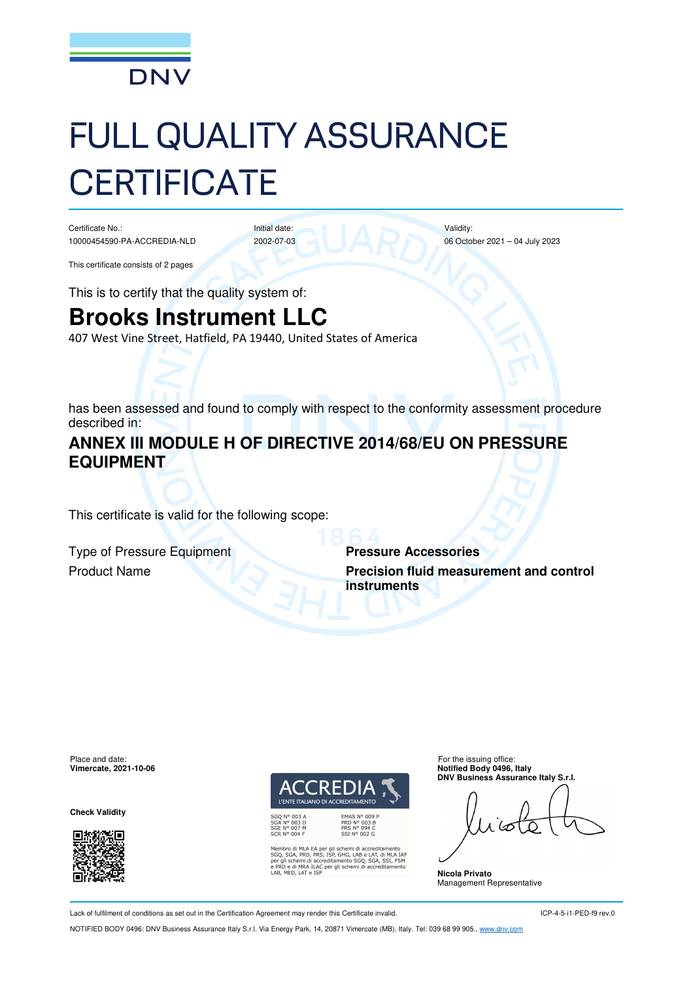

# FULL QUALITY ASSURANCE **CERTIFICATE**

Initial date: 2002-07-03

Certificate No.: 10000454590-PA-ACCREDIA-NLD

This certificate consists of 2 pages

This is to certify that the quality system of:

## **Brooks Instrument LLC**

407 West Vine Street, Hatfield, PA 19440, United States of America

has been assessed and found to comply with respect to the conformity assessment procedure described in:

#### **ANNEX III MODULE H OF DIRECTIVE 2014/68/EU ON PRESSURE EQUIPMENT**

This certificate is valid for the following scope:

Type of Pressure Equipment **Pressure Accessories**

**Product Name <b>Precision fluid measurement and control instruments**

Validity:

06 October 2021 – 04 July 2023

Place and date: For the issuing office:<br> **Place and date:** For the issuing office:<br> **Place and date:** For the issuing office:<br> **Place and date:** For the issuing office:

**Check Validity** 





nbro di MLA EA per gli schemi di accreditamento<br>J, SGA, PRD, PRS, ISP, GHG, LAB e LAT, di MLA IAF<br>gli schemi di accreditamento SGQ, SGA, SSI, FSM<br>UD e di MRA ILAC per gli schemi di accreditamento<br>, MED, LAT e ISP

**Notified Body 0496, Italy DNV Business Assurance Italy S.r.l.** 

**Nicola Privato**  Management Representative

Lack of fulfilment of conditions as set out in the Certification Agreement may render this Certificate invalid.

ICP-4-5-i1-PED-f9 rev.0

NOTIFIED BODY 0496: DNV Business Assurance Italy S.r.l. Via Energy Park, 14, 20871 Vimercate (MB), Italy. Tel: 039 68 99 905., www.dnv.com